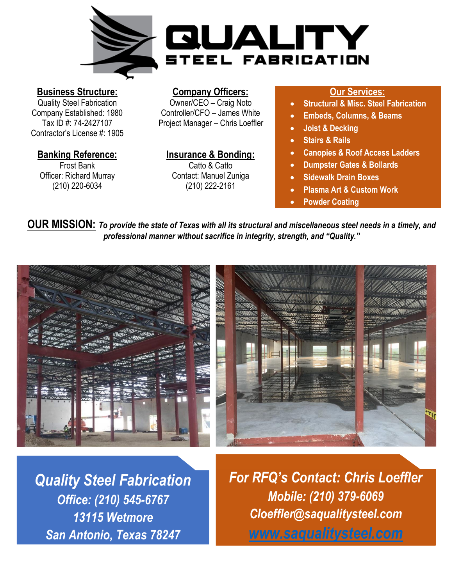

#### **Business Structure:**

Quality Steel Fabrication Company Established: 1980 Tax ID #: 74-2427107 Contractor's License #: 1905

#### **Banking Reference:**

Frost Bank Officer: Richard Murray (210) 220-6034

#### **Company Officers:**

Owner/CEO – Craig Noto Controller/CFO – James White Project Manager – Chris Loeffler

**Insurance & Bonding:** Catto & Catto Contact: Manuel Zuniga (210) 222-2161

#### **Our Services:**

- **Structural & Misc. Steel Fabrication**
- **Embeds, Columns, & Beams**
- **Joist & Decking**
- **Stairs & Rails**
- **Canopies & Roof Access Ladders**
- **Dumpster Gates & Bollards**
- **Sidewalk Drain Boxes**
- **Plasma Art & Custom Work**
- **Powder Coating**

**OUR MISSION:** *To provide the state of Texas with all its structural and miscellaneous steel needs in a timely, and professional manner without sacrifice in integrity, strength, and "Quality."*



*Quality Steel Fabrication Office: (210) 545-6767 13115 Wetmore San Antonio, Texas 78247*

*For RFQ's Contact: Chris Loeffler Mobile: (210) 379-6069 Cloeffler@saqualitysteel.com [www.saqualitysteel.com](http://www.saqualitysteel.com/)*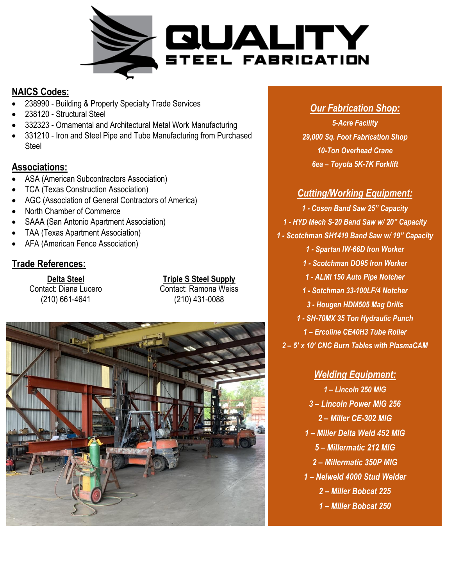

## **NAICS Codes:**

- 238990 Building & Property Specialty Trade Services
- 238120 Structural Steel
- 332323 Ornamental and Architectural Metal Work Manufacturing
- 331210 Iron and Steel Pipe and Tube Manufacturing from Purchased Steel

# **Associations:**

- ASA (American Subcontractors Association)
- TCA (Texas Construction Association)
- AGC (Association of General Contractors of America)
- North Chamber of Commerce
- SAAA (San Antonio Apartment Association)
- TAA (Texas Apartment Association)
- AFA (American Fence Association)

# **Trade References:**

**Delta Steel** Contact: Diana Lucero (210) 661-4641

**Triple S Steel Supply** Contact: Ramona Weiss (210) 431-0088



# *Our Fabrication Shop:*

*5-Acre Facility 29,000 Sq. Foot Fabrication Shop 10-Ton Overhead Crane 6ea – Toyota 5K-7K Forklift*

## *Cutting/Working Equipment:*

*1 - Cosen Band Saw 25" Capacity 1 - HYD Mech S-20 Band Saw w/ 20" Capacity 1 - Scotchman SH1419 Band Saw w/ 19" Capacity 1 - Spartan IW-66D Iron Worker 1 - Scotchman DO95 Iron Worker 1 - ALMI 150 Auto Pipe Notcher 1 - Sotchman 33-100LF/4 Notcher 3 - Hougen HDM505 Mag Drills 1 - SH-70MX 35 Ton Hydraulic Punch 1 – Ercoline CE40H3 Tube Roller 2 – 5' x 10' CNC Burn Tables with PlasmaCAM*

## *Welding Equipment:*

*– Lincoln 250 MIG – Lincoln Power MIG 256 – Miller CE-302 MIG – Miller Delta Weld 452 MIG – Millermatic 212 MIG – Millermatic 350P MIG – Nelweld 4000 Stud Welder – Miller Bobcat 225 – Miller Bobcat 250*